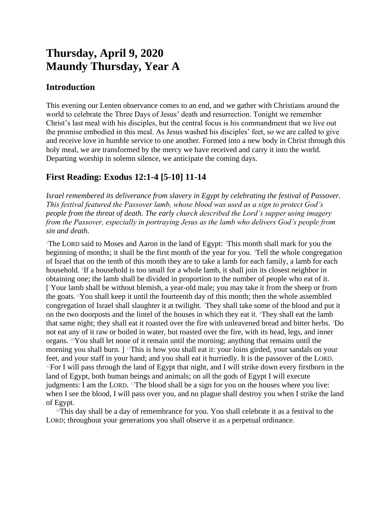# **Thursday, April 9, 2020 Maundy Thursday, Year A**

### **Introduction**

This evening our Lenten observance comes to an end, and we gather with Christians around the world to celebrate the Three Days of Jesus' death and resurrection. Tonight we remember Christ's last meal with his disciples, but the central focus is his commandment that we live out the promise embodied in this meal. As Jesus washed his disciples' feet, so we are called to give and receive love in humble service to one another. Formed into a new body in Christ through this holy meal, we are transformed by the mercy we have received and carry it into the world. Departing worship in solemn silence, we anticipate the coming days.

# **First Reading: Exodus 12:1-4 [5-10] 11-14**

*Israel remembered its deliverance from slavery in Egypt by celebrating the festival of Passover. This festival featured the Passover lamb, whose blood was used as a sign to protect God's people from the threat of death. The early church described the Lord's supper using imagery from the Passover, especially in portraying Jesus as the lamb who delivers God's people from sin and death.*

<sup>1</sup>The LORD said to Moses and Aaron in the land of Egypt:  $2$ This month shall mark for you the beginning of months; it shall be the first month of the year for you.  ${}^{3}$ Tell the whole congregation of Israel that on the tenth of this month they are to take a lamb for each family, a lamb for each household. <sup>4</sup> If a household is too small for a whole lamb, it shall join its closest neighbor in obtaining one; the lamb shall be divided in proportion to the number of people who eat of it. [ <sup>5</sup>Your lamb shall be without blemish, a year-old male; you may take it from the sheep or from the goats. 6You shall keep it until the fourteenth day of this month; then the whole assembled congregation of Israel shall slaughter it at twilight. 7They shall take some of the blood and put it on the two doorposts and the lintel of the houses in which they eat it. <sup>8</sup>They shall eat the lamb that same night; they shall eat it roasted over the fire with unleavened bread and bitter herbs. 9Do not eat any of it raw or boiled in water, but roasted over the fire, with its head, legs, and inner organs.  $10$ You shall let none of it remain until the morning; anything that remains until the morning you shall burn. ] <sup>11</sup>This is how you shall eat it: your loins girded, your sandals on your feet, and your staff in your hand; and you shall eat it hurriedly. It is the passover of the LORD. <sup>12</sup>For I will pass through the land of Egypt that night, and I will strike down every firstborn in the land of Egypt, both human beings and animals; on all the gods of Egypt I will execute judgments: I am the LORD. <sup>13</sup>The blood shall be a sign for you on the houses where you live: when I see the blood, I will pass over you, and no plague shall destroy you when I strike the land of Egypt.

<sup>14</sup>This day shall be a day of remembrance for you. You shall celebrate it as a festival to the LORD; throughout your generations you shall observe it as a perpetual ordinance.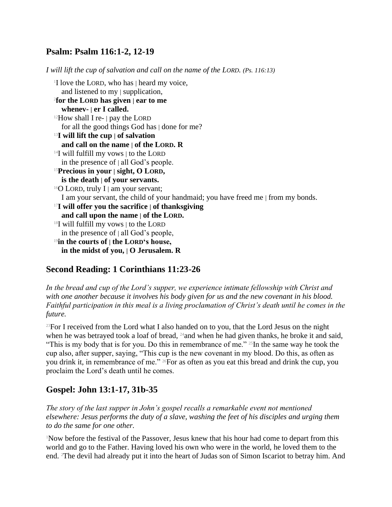### **Psalm: Psalm 116:1-2, 12-19**

*I will lift the cup of salvation and call on the name of the LORD. (Ps. 116:13)* <sup>1</sup>I love the LORD, who has | heard my voice, and listened to my | supplication, 2 **for the LORD has given | ear to me whenev- | er I called.**  $12$ How shall I re-  $\vert$  pay the LORD for all the good things God has | done for me? <sup>13</sup>**I will lift the cup | of salvation and call on the name | of the LORD. R**  $14$ I will fulfill my vows  $\vert$  to the LORD in the presence of  $|$  all God's people. <sup>15</sup>**Precious in your | sight, O LORD, is the death | of your servants.**  $16$ O LORD, truly I | am your servant; I am your servant, the child of your handmaid; you have freed me | from my bonds. <sup>17</sup>**I will offer you the sacrifice | of thanksgiving and call upon the name | of the LORD.** <sup>18</sup>I will fulfill my vows | to the LORD in the presence of | all God's people, <sup>19</sup>**in the courts of | the LORD's house, in the midst of you, | O Jerusalem. R**

# **Second Reading: 1 Corinthians 11:23-26**

In the bread and cup of the Lord's supper, we experience intimate fellowship with Christ and *with one another because it involves his body given for us and the new covenant in his blood. Faithful participation in this meal is a living proclamation of Christ's death until he comes in the future.*

 $^{23}$ For I received from the Lord what I also handed on to you, that the Lord Jesus on the night when he was betrayed took a loaf of bread, <sup>24</sup> and when he had given thanks, he broke it and said, "This is my body that is for you. Do this in remembrance of me." <sup>25</sup>In the same way he took the cup also, after supper, saying, "This cup is the new covenant in my blood. Do this, as often as you drink it, in remembrance of me." 26For as often as you eat this bread and drink the cup, you proclaim the Lord's death until he comes.

# **Gospel: John 13:1-17, 31b-35**

*The story of the last supper in John's gospel recalls a remarkable event not mentioned elsewhere: Jesus performs the duty of a slave, washing the feet of his disciples and urging them to do the same for one other.*

<sup>1</sup>Now before the festival of the Passover, Jesus knew that his hour had come to depart from this world and go to the Father. Having loved his own who were in the world, he loved them to the end. 2The devil had already put it into the heart of Judas son of Simon Iscariot to betray him. And